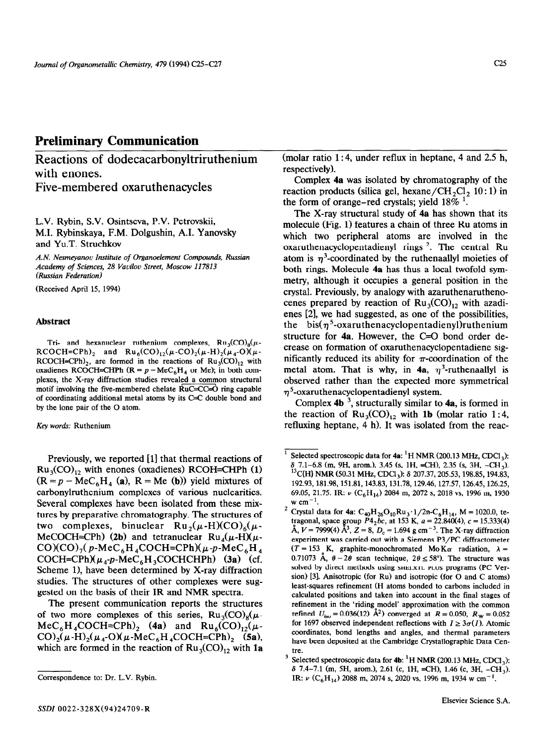# **Preliminary Communication**

Reactions of dodecacarbonyltriruthenium with enones. Five-membered oxaruthenacycles

L.V. Rybin, S.V. Osintseva, P.V. Petrovskii, M.I. Rybinskaya, F.M. Dolgushin, A.I. Yanovsky and Yu.T. Struchkov

*A.N. Nesmeyanov Insiitute of Organoelement Compounds, Russian Academy of Sciences, 28 Vavilov Street, Moscow 117813 (Russian Federation)* 

(Received April 15, 1994)

#### **Abstract**

Tri- and hexanuclear ruthenium complexes,  $Ru_3(CO)_8(\mu-$ RCOCH=CPh)<sub>2</sub> and Ru<sub>6</sub>(CO)<sub>12</sub>( $\mu$ -CO)<sub>2</sub>( $\mu$ -H)<sub>2</sub>( $\mu$ <sub>4</sub>-O)( $\mu$ -RCOCH=CPh)<sub>2</sub>, are formed in the reactions of  $Ru_3(CO)_{12}$  with oxadienes RCOCH=CHPh ( $R = p - \text{MeC}_6H_4$  or Me); in both complexes, the X-ray diffraction studies revealed a common structural motif involving the five-membered chelate  $\overline{\text{RuC}=\text{CC}-\text{O}}$  ring capable of coordinating additional metal atoms by its C=C double bond and by the lone pair of the 0 atom.

#### Key words: Ruthenium

Previously, we reported [l] that thermal reactions of  $Ru_3(CO)_{12}$  with enones (oxadienes) RCOH=CHPh  $(1)$  $(R = p - \text{MeC}_6\text{H}_4$  (a),  $R = \text{Me}$  (b)) yield mixtures of carbonylruthenium complexes of various nuclearities. Several complexes have been isolated from these mixtures by preparative chromatography. The structures of two complexes, binuclear  $Ru_2(\mu-H)(CO)_{6}(\mu-H)$ . MeCOCH=CPh) (2b) and tetranuclear  $Ru_4(\mu-H)(\mu-H)$ CO)(CO)<sub>7</sub>( $p$ -MeC<sub>6</sub>H<sub>4</sub>COCH=CPh)( $\mu$ - $p$ -MeC<sub>6</sub>H<sub>4</sub> COCH=CPh $(\mu_4$ -p-MeC<sub>6</sub>H<sub>3</sub>COCHCHPh) (3a) (cf. Scheme 1), have been determined by X-ray diffraction studies. The structures of other complexes were suggested on the basis of their IR and NMR spectra.

The present communication reports the structures of two more complexes of this series,  $Ru_3(CO)_8(\mu MeC_6H_4COCH=CPh$ <sub>2</sub> (4a) and  $Ru_6(CO)_{12}(\mu CO$ <sub>2</sub>( $\mu$ -H)<sub>2</sub>( $\mu$ <sub>4</sub>-O)( $\mu$ -MeC<sub>6</sub>H<sub>4</sub>COCH=CPh)<sub>2</sub> (5a), which are formed in the reaction of  $Ru_3(CO)_{12}$  with 1a (molar ratio 1: 4, under reflux in heptane, 4 and 2.5 h, respectively).

Complex **4a** was isolated by chromatography of the reaction products (silica gel, hexane/CH<sub>2</sub>Cl<sub>2</sub> 10:1) in the form of orange-red crystals; yield  $18\%$ <sup>1</sup>.

The X-ray structural study of **4a** has shown that its molecule (Fig. 1) features a chain of three Ru atoms in which two peripheral atoms are involved in the oxaruthenacyclopentadienyl rings  $2$ . The central Ru atom is  $\eta^3$ -coordinated by the ruthenaallyl moieties of both rings. Molecule **4a** has thus a local twofold symmetry, although it occupies a general position in the crystal. Previously, by analogy with azaruthenaruthenocenes prepared by reaction of  $Ru_3(CO)_{12}$  with azadienes [2], we had suggested, as one of the possibilities, the bis( $\eta^5$ -oxaruthenacyclopentadienyl)ruthenium structure for 4a. However, the C=O bond order decrease on formation of oxaruthenacyclopentadiene significantly reduced its ability for  $\pi$ -coordination of the metal atom. That is why, in  $4a$ ,  $\eta^3$ -ruthenaallyl is observed rather than the expected more symmetrical  $\eta^5$ -oxaruthenacyclopentadienyl system.

Complex **4b 3,** structurally similar to **4a,** is formed in the reaction of  $Ru_3(CO)_{12}$  with 1b (molar ratio 1:4, refluxing heptane, 4 h). It was isolated from the reac-

Correspondence to: Dr. L.V. Rybin.

 $\frac{1}{1}$  Selected spectroscopic data for 4a: <sup>1</sup>H NMR (200.13 MHz, CDCl<sub>3</sub>):  $\delta$  7.1–6.8 (m, 9H, arom.), 3.45 (s, 1H, =CH), 2.35 (s, 3H, -CH<sub>3</sub>). <sup>13</sup>C(H) NMR (50.31 MHz, CDCl<sub>3</sub>):  $\delta$  207.37, 205.53, 198.85, 194.83, 192.93,181.98, 151.81,143.83,131.78,129.46, 127.57,126.45, 126.25, 69.05, 21.75. IR:  $\nu$  (C<sub>6</sub>H<sub>14</sub>) 2084 m, 2072 s, 2018 vs, 1996 m, 1930  $w$  cm $^{-1}$ .

<sup>&</sup>lt;sup>2</sup> Crystal data for 4a:  $C_{40}H_{26}O_{10}Ru_3 \cdot 1/2n-C_6H_{14}$ , M = 1020.0, tetragonal, space group  $P4_2bc$ , at 153 K,  $a = 22.840(4)$ ,  $c = 15.333(4)$ Å,  $V = 7999(4)$  Å<sup>3</sup>,  $Z = 8$ ,  $D_c = 1.694$  g cm<sup>-3</sup>. The X-ray diffraction experiment was carried out with a Siemens P3/PC diffractometer  $(T = 153 \text{ K}$ , graphite-monochromated Mo K $\alpha$  radiation,  $\lambda =$ 0.71073 Å,  $\theta - 2\theta$  scan technique,  $2\theta \le 58^{\circ}$ ). The structure was solved by direct methods using **SHELXTL PLUS** programs (PC Version) [3]. Anisotropic (for Ru) and isotropic (for O and C atoms) least-squares refinement (H atoms bonded to carbons included in calculated positions and taken into account in the final stages of refinement in the 'riding model' approximation with the common refined  $U_{\text{iso}} = 0.036(12)$   $\text{\AA}^2$ ) converged at  $R = 0.050$ ,  $R_{\text{W}} = 0.052$ for 1697 observed independent reflections with  $I \geq 3\sigma(I)$ . Atomic coordinates, bond lengths and angles, and thermal parameters have been deposited at the Cambridge Crystallographic Data Centre.

Selected spectroscopic data for 4b:  $\rm{^{1}H}$  NMR (200.13 MHz, CDCl<sub>3</sub>):  $\delta$  7.4-7.1 (m, 5H, arom.), 2.61 (c, 1H, =CH), 1.46 (c, 3H, -CH<sub>3</sub>). IR:  $\nu$  (C<sub>6</sub>H<sub>14</sub>) 2088 m, 2074 s, 2020 vs, 1996 m, 1934 w cm<sup>-1</sup>.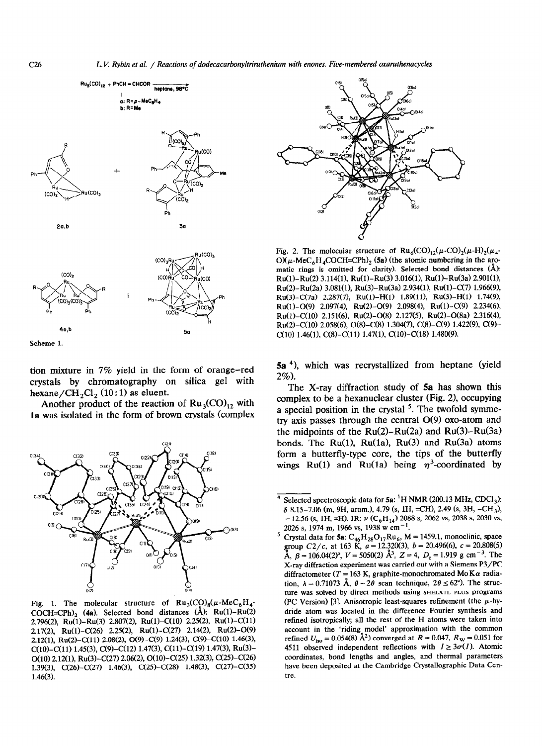



Scheme 1.

tion mixture in 7% yield in the form of orange-red crystals by chromatography on silica gel with hexane/CH<sub>2</sub>Cl<sub>2</sub> (10:1) as eluent.

Another product of the reaction of  $Ru_3(CO)_{12}$  with **la** was isolated in the form of brown crystals (complex



Fig. 1. The molecular structure of  $Ru_3(CQ)_8(\mu$ -MeC<sub>6</sub>H<sub>4</sub>-COCH=CPh)<sub>2</sub> (4a). Selected bond distances ( $\AA$ ): Ru(1)-Ru(2) 2.796(Z), Ru(l)-Ru(3) 2.807(Z), Ru(l)-C(10) 2.25(Z), Ru(l)-C(l1) 2.17(Z), Ru(l)-C(26) 2.25(Z), Ru(l)-C(27) 2.14(Z), Ru(2)-0(9) 2.12(1), Ru(2)-C(11) 2.08(2), O(9)-C(9) 1.24(3), C(9)-C(10) 1.46(3), C(10)-C(11) 1.45(3), C(9)-C(12) 1.47(3), C(11)-C(19) 1.47(3), Ru(3)- $O(10)$  2.12(1), Ru(3)-C(27) 2.06(2), O(10)-C(25) 1.32(3), C(25)-C(26) 1.39(3), C(26)-C(27) 1.46(3), c(25)-C(28) 1.48(3), C(27)-c(35) 1.46(3).



Fig. 2. The molecular structure of  $Ru_6(CO)_{12}(\mu$ -CO $_2(\mu$ -H)<sub>2</sub>( $\mu$ <sub>4</sub>- $O(\mu$ -MeC<sub>6</sub>H<sub>4</sub>COCH=CPh)<sub>2</sub> (5a) (the atomic numbering in the aromatic rings is omitted for clarity). Selected **bond distances** (A): Ru(l)-Ru(2) 3.114(l), Ru(l)-Ru(3) 3.016(l), Ru(l)-Ru(3a) 2.901(l), Ru(Z)-Ru(2a) 3.081(l), Ru(3)-Ru(3a) 2.934(l), Ru(l)-C(7) 1.966(9),  $Ru(3)-C(7a)$  2.287(7),  $Ru(1)-H(1)$  1.89(11),  $Ru(3)-H(1)$  1.74(9), Ru(l)-O(9) 2.097(4), Ru(Z)-O(9) 2.098(4), Ru(l)-C(9) 2.234(6), Ru(l)-C(10) 2.151(6), Ru(Z)-O(8) 2.127(5), Ru(Z)-O(8a) 2.316(4), Ru(Z)-C(10) 2.058(6), 0(8)-C(S) 1.304(7), C(8)-C(9) 1.422(9), C(9)-  $C(10)$  1.46(1),  $C(8)$ - $C(11)$  1.47(1),  $C(10)$ - $C(18)$  1.480(9).

5a 4), which was recrystallized from heptane (yield 2%).

The X-ray diffraction study of **5a** has shown this complex to be a hexanuclear cluster (Fig. 2), occupying a special position in the crystal  $<sup>5</sup>$ . The twofold symme-</sup> try axis passes through the central O(9) oxo-atom and the midpoints of the  $Ru(2)$ – $Ru(2a)$  and  $Ru(3)$ – $Ru(3a)$ bonds. The Ru(1), Ru(1a), Ru(3) and Ru(3a) atoms form a butterfly-type core, the tips of the butterfly wings Ru(1) and Ru(1a) being  $\eta^3$ -coordinated by

<sup>&</sup>lt;sup>4</sup> Selected spectroscopic data for **5a**: <sup>1</sup>H NMR (200.13 MHz, CDCl<sub>3</sub>):  $\delta$  8.15-7.06 (m, 9H, arom.), 4.79 (s, 1H, =CH), 2.49 (s, 3H, -CH<sub>3</sub>),  $-12.56$  (s, 1H, =H). IR:  $\nu$  (C<sub>6</sub>H<sub>14</sub>) 2088 s, 2062 vs, 2038 s, 2030 vs, 2026 s, 1974 m, 1966 vs, 1938 w cm<sup>-1</sup>.

<sup>&</sup>lt;sup>5</sup> Crystal data for 5a:  $C_{46}H_{28}O_{17}Ru_6$ , M = 1459.1, monoclinic, space group CZ/c, at 163 K, a = 12.320(3), *b =* 20.496(6), c = 20.808(5) A,  $\beta = 106.04(2)$ °,  $V = 5050(2)$  Å<sup>3</sup>,  $Z = 4$ ,  $D_c = 1.919$  g cm<sup>-3</sup>. The X-ray diffraction experiment was carried out with a Siemens P3/PC diffractometer (T = 163 K, graphite-monochromated MoK $\alpha$  radiation,  $\lambda = 0.71073$  Å,  $\theta - 2\theta$  scan technique,  $2\theta \le 62^{\circ}$ ). The structure was solved by direct methods using **SHELXTL PLUS** programs (PC Version) [3]. Anisotropic least-squares refinement (the  $\mu$ -hydride atom was located in the difference Fourier synthesis and refined isotropically; all the rest of the H atoms were taken into account in the 'riding model' approximation with the common refined  $U_{\text{iso}} = 0.054(8) \text{ Å}^2$ ) converged at  $R = 0.047$ ,  $R_{\text{w}} = 0.051$  for 4511 observed independent reflections with  $I \geq 3\sigma(I)$ . Atomic coordinates, bond lengths and angles, and thermal parameters have been deposited at the Cambridge Crystallographic Data Centre.